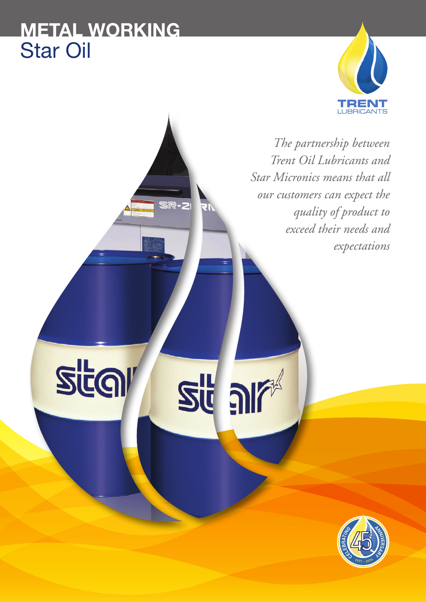# **METAL WORKING** Star Oil